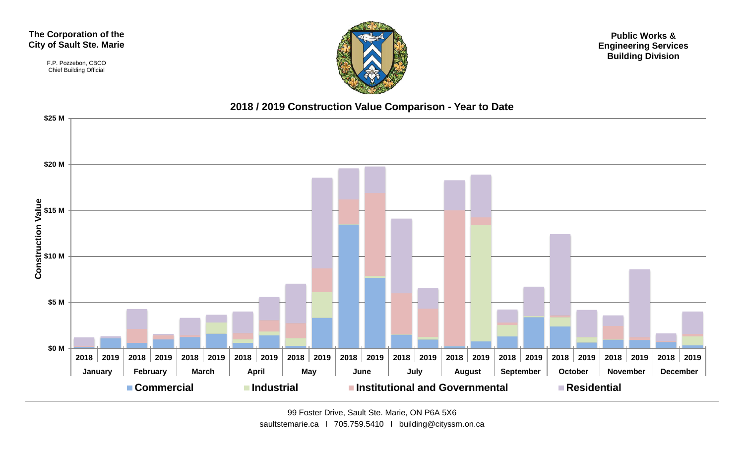#### **The Corporation of the City of Sault Ste. Marie**

F.P. Pozzebon, CBCO Chief Building Official



**Public Works & Engineering Services Building Division**

#### **2018 / 2019 Construction Value Comparison - Year to Date**



99 Foster Drive, Sault Ste. Marie, ON P6A 5X6 saultstemarie.ca | 705.759.5410 | building@cityssm.on.ca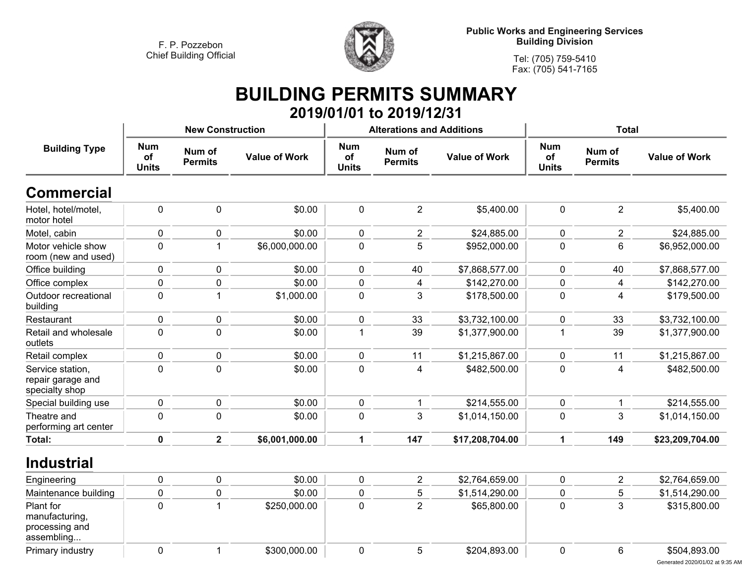

**Tel: (705) 759-5410 Fax: (705) 541-7165**

#### **BUILDING PERMITS SUMMARY 2019/01/01 to 2019/12/31**

|                                                             |                                  | <b>New Construction</b>  |                      |                                  | <b>Alterations and Additions</b> |                      | <b>Total</b>                     |                          |                      |
|-------------------------------------------------------------|----------------------------------|--------------------------|----------------------|----------------------------------|----------------------------------|----------------------|----------------------------------|--------------------------|----------------------|
| <b>Building Type</b>                                        | <b>Num</b><br>of<br><b>Units</b> | Num of<br><b>Permits</b> | <b>Value of Work</b> | <b>Num</b><br>of<br><b>Units</b> | Num of<br><b>Permits</b>         | <b>Value of Work</b> | <b>Num</b><br>of<br><b>Units</b> | Num of<br><b>Permits</b> | <b>Value of Work</b> |
| <b>Commercial</b>                                           |                                  |                          |                      |                                  |                                  |                      |                                  |                          |                      |
| Hotel, hotel/motel,<br>motor hotel                          | $\pmb{0}$                        | $\pmb{0}$                | \$0.00               | $\pmb{0}$                        | $\overline{2}$                   | \$5,400.00           | $\pmb{0}$                        | $\mathbf 2$              | \$5,400.00           |
| Motel, cabin                                                | $\pmb{0}$                        | $\pmb{0}$                | \$0.00               | 0                                | $\overline{2}$                   | \$24,885.00          | 0                                | $\overline{c}$           | \$24,885.00          |
| Motor vehicle show<br>room (new and used)                   | $\mathbf 0$                      | 1                        | \$6,000,000.00       | $\mathbf{0}$                     | 5                                | \$952,000.00         | 0                                | 6                        | \$6,952,000.00       |
| Office building                                             | $\pmb{0}$                        | $\pmb{0}$                | \$0.00               | 0                                | 40                               | \$7,868,577.00       | 0                                | 40                       | \$7,868,577.00       |
| Office complex                                              | $\pmb{0}$                        | $\mathbf 0$              | \$0.00               | $\mathbf 0$                      | 4                                | \$142,270.00         | 0                                | $\overline{\mathbf{4}}$  | \$142,270.00         |
| Outdoor recreational<br>building                            | $\mathbf 0$                      | $\mathbf{1}$             | \$1,000.00           | $\mathbf 0$                      | 3                                | \$178,500.00         | 0                                | 4                        | \$179,500.00         |
| Restaurant                                                  | $\pmb{0}$                        | $\pmb{0}$                | \$0.00               | 0                                | 33                               | \$3,732,100.00       | 0                                | 33                       | \$3,732,100.00       |
| Retail and wholesale<br>outlets                             | $\pmb{0}$                        | $\pmb{0}$                | \$0.00               | $\mathbf{1}$                     | 39                               | \$1,377,900.00       | $\mathbf{1}$                     | 39                       | \$1,377,900.00       |
| Retail complex                                              | $\pmb{0}$                        | $\pmb{0}$                | \$0.00               | $\mathbf 0$                      | 11                               | \$1,215,867.00       | 0                                | 11                       | \$1,215,867.00       |
| Service station,<br>repair garage and<br>specialty shop     | $\mathbf 0$                      | $\mathbf 0$              | \$0.00               | $\mathbf 0$                      | 4                                | \$482,500.00         | $\pmb{0}$                        | $\overline{4}$           | \$482,500.00         |
| Special building use                                        | $\pmb{0}$                        | $\pmb{0}$                | \$0.00               | $\mathbf 0$                      |                                  | \$214,555.00         | 0                                | $\mathbf{1}$             | \$214,555.00         |
| Theatre and<br>performing art center                        | $\pmb{0}$                        | $\pmb{0}$                | \$0.00               | $\mathbf 0$                      | 3                                | \$1,014,150.00       | 0                                | 3                        | \$1,014,150.00       |
| <b>Total:</b>                                               | $\pmb{0}$                        | $\overline{2}$           | \$6,001,000.00       | $\mathbf 1$                      | 147                              | \$17,208,704.00      | 1                                | 149                      | \$23,209,704.00      |
| <b>Industrial</b>                                           |                                  |                          |                      |                                  |                                  |                      |                                  |                          |                      |
| Engineering                                                 | $\pmb{0}$                        | $\pmb{0}$                | \$0.00               | $\mathbf 0$                      | $\overline{2}$                   | \$2,764,659.00       | 0                                | $\overline{c}$           | \$2,764,659.00       |
| Maintenance building                                        | $\pmb{0}$                        | $\mathbf 0$              | \$0.00               | $\mathbf 0$                      | 5                                | \$1,514,290.00       | $\mathbf 0$                      | 5                        | \$1,514,290.00       |
| Plant for<br>manufacturing,<br>processing and<br>assembling | $\pmb{0}$                        | $\mathbf{1}$             | \$250,000.00         | $\mathbf 0$                      | $\overline{2}$                   | \$65,800.00          | $\pmb{0}$                        | 3                        | \$315,800.00         |
| Primary industry                                            | $\mathbf 0$                      | 1                        | \$300,000.00         | $\mathbf 0$                      | 5                                | \$204,893.00         | $\mathbf 0$                      | 6                        | \$504,893.00         |

Generated 2020/01/02 at 9:35 AM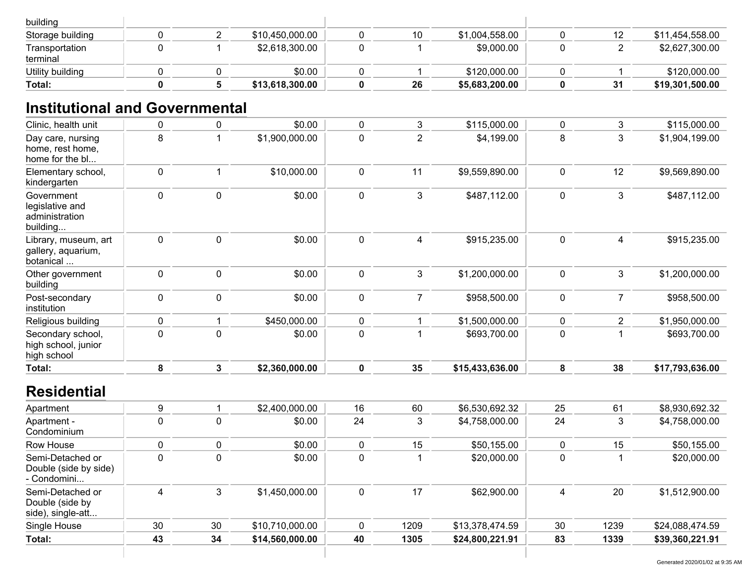| building                   |  |                 |    |                |    |                 |
|----------------------------|--|-----------------|----|----------------|----|-----------------|
| Storage building           |  | \$10,450,000.00 | 10 | \$1,004,558.00 | 12 | \$11,454,558.00 |
| Transportation<br>terminal |  | \$2,618,300.00  |    | \$9,000.00     |    | \$2,627,300.00  |
| Utility building           |  | \$0.00          |    | \$120,000.00   |    | \$120,000.00    |
| Total:                     |  | \$13,618,300.00 | 26 | \$5,683,200.00 | 31 | \$19,301,500.00 |

## **Institutional and Governmental**

| Clinic, health unit                                         | $\mathbf 0$      | 0              | \$0.00         | $\mathbf 0$ | 3                       | \$115,000.00    | 0         | 3              | \$115,000.00    |
|-------------------------------------------------------------|------------------|----------------|----------------|-------------|-------------------------|-----------------|-----------|----------------|-----------------|
| Day care, nursing<br>home, rest home,<br>home for the bl    | 8                |                | \$1,900,000.00 | 0           | $\overline{\mathbf{c}}$ | \$4,199.00      | 8         | 3              | \$1,904,199.00  |
| Elementary school,<br>kindergarten                          | $\mathbf 0$      |                | \$10,000.00    | $\mathbf 0$ | 11                      | \$9,559,890.00  | 0         | 12             | \$9,569,890.00  |
| Government<br>legislative and<br>administration<br>building | $\mathbf 0$      | $\pmb{0}$      | \$0.00         | $\mathbf 0$ | 3                       | \$487,112.00    | 0         | 3              | \$487,112.00    |
| Library, museum, art<br>gallery, aquarium,<br>botanical     | $\mathbf 0$      | 0              | \$0.00         | 0           | 4                       | \$915,235.00    | 0         | $\overline{4}$ | \$915,235.00    |
| Other government<br>building                                | $\mathbf 0$      | $\pmb{0}$      | \$0.00         | $\pmb{0}$   | 3                       | \$1,200,000.00  | $\pmb{0}$ | 3              | \$1,200,000.00  |
| Post-secondary<br>institution                               | $\boldsymbol{0}$ | 0              | \$0.00         | $\mathbf 0$ | $\overline{7}$          | \$958,500.00    | 0         | 7              | \$958,500.00    |
| Religious building                                          | 0                |                | \$450,000.00   | $\mathbf 0$ |                         | \$1,500,000.00  | 0         | $\overline{2}$ | \$1,950,000.00  |
| Secondary school,<br>high school, junior<br>high school     | $\mathbf 0$      | 0              | \$0.00         | 0           |                         | \$693,700.00    | 0         |                | \$693,700.00    |
| Total:                                                      | 8                | $\overline{3}$ | \$2,360,000.00 | 0           | 35                      | \$15,433,636.00 | 8         | 38             | \$17,793,636.00 |
| <b>Residential</b>                                          |                  |                |                |             |                         |                 |           |                |                 |
| Apartment                                                   | 9                |                | \$2,400,000.00 | 16          | 60                      | \$6,530,692.32  | 25        | 61             | \$8,930,692.32  |

| Apartment                                                |    |    | \$2,400,000.00  | 16 | 60   | \$6,530,692.32  | 25 | 61   | \$8,930,692.32  |
|----------------------------------------------------------|----|----|-----------------|----|------|-----------------|----|------|-----------------|
| Apartment -<br>Condominium                               | 0  |    | \$0.00          | 24 | 3    | \$4,758,000.00  | 24 | 3    | \$4,758,000.00  |
| Row House                                                |    |    | \$0.00          |    | 15   | \$50,155.00     |    | 15   | \$50,155.00     |
| Semi-Detached or<br>Double (side by side)<br>- Condomini | C  |    | \$0.00          |    |      | \$20,000.00     | 0  |      | \$20,000.00     |
| Semi-Detached or<br>Double (side by<br>side), single-att | 4  | 3  | \$1,450,000.00  |    | 17   | \$62,900.00     |    | 20   | \$1,512,900.00  |
| Single House                                             | 30 | 30 | \$10,710,000.00 |    | 1209 | \$13,378,474.59 | 30 | 1239 | \$24,088,474.59 |
| Total:                                                   | 43 | 34 | \$14,560,000.00 | 40 | 1305 | \$24,800,221.91 | 83 | 1339 | \$39,360,221.91 |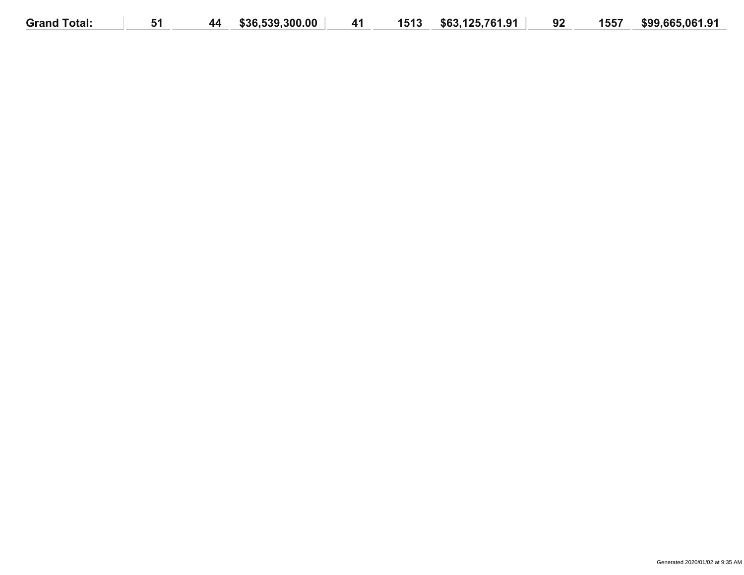| \$63.125.761.91<br>1557<br><b>Grand Total:</b><br>\$36,539,300.00<br>1513<br>92<br>41<br>44 | \$99,665,061.91 |
|---------------------------------------------------------------------------------------------|-----------------|
|---------------------------------------------------------------------------------------------|-----------------|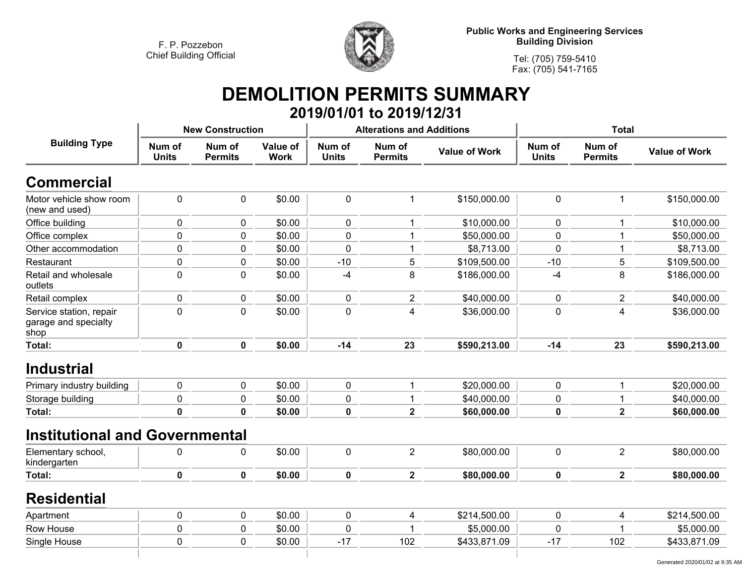

**Tel: (705) 759-5410 Fax: (705) 541-7165**

# **DEMOLITION PERMITS SUMMARY**

|                                                         |                        |                          |                         |                        | 2019/01/01 to 2019/12/31         |                      |                        |                          |                      |
|---------------------------------------------------------|------------------------|--------------------------|-------------------------|------------------------|----------------------------------|----------------------|------------------------|--------------------------|----------------------|
|                                                         |                        | <b>New Construction</b>  |                         |                        | <b>Alterations and Additions</b> |                      | <b>Total</b>           |                          |                      |
| <b>Building Type</b>                                    | Num of<br><b>Units</b> | Num of<br><b>Permits</b> | Value of<br><b>Work</b> | Num of<br><b>Units</b> | Num of<br><b>Permits</b>         | <b>Value of Work</b> | Num of<br><b>Units</b> | Num of<br><b>Permits</b> | <b>Value of Work</b> |
| <b>Commercial</b>                                       |                        |                          |                         |                        |                                  |                      |                        |                          |                      |
| Motor vehicle show room<br>(new and used)               | $\mathbf 0$            | $\mathbf 0$              | \$0.00                  | $\mathbf 0$            | $\mathbf{1}$                     | \$150,000.00         | 0                      | 1                        | \$150,000.00         |
| Office building                                         | $\mathbf 0$            | $\mathbf 0$              | \$0.00                  | $\mathbf 0$            | $\mathbf{1}$                     | \$10,000.00          | 0                      |                          | \$10,000.00          |
| Office complex                                          | 0                      | $\mathbf 0$              | \$0.00                  | 0                      | 1                                | \$50,000.00          | 0                      |                          | \$50,000.00          |
| Other accommodation                                     | 0                      | $\mathbf 0$              | \$0.00                  | 0                      | 1                                | \$8,713.00           | 0                      |                          | \$8,713.00           |
| Restaurant                                              | $\pmb{0}$              | $\pmb{0}$                | \$0.00                  | $-10$                  | 5                                | \$109,500.00         | $-10$                  | 5                        | \$109,500.00         |
| Retail and wholesale<br>outlets                         | $\mathbf 0$            | $\mathbf 0$              | \$0.00                  | -4                     | 8                                | \$186,000.00         | $-4$                   | 8                        | \$186,000.00         |
| Retail complex                                          | $\pmb{0}$              | 0                        | \$0.00                  | $\pmb{0}$              | $\overline{c}$                   | \$40,000.00          | 0                      | $\overline{2}$           | \$40,000.00          |
| Service station, repair<br>garage and specialty<br>shop | $\mathbf 0$            | $\mathbf 0$              | \$0.00                  | $\mathbf 0$            | $\overline{4}$                   | \$36,000.00          | 0                      | $\overline{4}$           | \$36,000.00          |
| Total:                                                  | $\pmb{0}$              | $\mathbf 0$              | \$0.00                  | $-14$                  | 23                               | \$590,213.00         | $-14$                  | 23                       | \$590,213.00         |
| <b>Industrial</b>                                       |                        |                          |                         |                        |                                  |                      |                        |                          |                      |
| Primary industry building                               | $\pmb{0}$              | $\pmb{0}$                | \$0.00                  | $\mathbf 0$            | $\mathbf{1}$                     | \$20,000.00          | 0                      | $\mathbf{1}$             | \$20,000.00          |
| Storage building                                        | 0                      | $\mathbf 0$              | \$0.00                  | $\mathbf 0$            | $\mathbf 1$                      | \$40,000.00          | 0                      |                          | \$40,000.00          |
| Total:                                                  | $\mathbf 0$            | $\mathbf{0}$             | \$0.00                  | $\bf{0}$               | $\overline{\mathbf{2}}$          | \$60,000.00          | 0                      | $\overline{\mathbf{2}}$  | \$60,000.00          |
| <b>Institutional and Governmental</b>                   |                        |                          |                         |                        |                                  |                      |                        |                          |                      |
| Elementary school,<br>kindergarten                      | 0                      | 0                        | \$0.00                  | $\mathbf 0$            | $\overline{2}$                   | \$80,000.00          | 0                      | $\overline{2}$           | \$80,000.00          |
| Total:                                                  | $\mathbf 0$            | 0                        | \$0.00                  | $\bf{0}$               | $\overline{\mathbf{2}}$          | \$80,000.00          | 0                      | $\overline{2}$           | \$80,000.00          |
| <b>Residential</b>                                      |                        |                          |                         |                        |                                  |                      |                        |                          |                      |
| Apartment                                               | $\pmb{0}$              | $\pmb{0}$                | \$0.00                  | $\pmb{0}$              | 4                                | \$214,500.00         | 0                      | 4                        | \$214,500.00         |
| Row House                                               | $\pmb{0}$              | $\mathbf 0$              | \$0.00                  | 0                      |                                  | \$5,000.00           | 0                      |                          | \$5,000.00           |
| Single House                                            | $\mathbf 0$            | 0                        | \$0.00                  | $-17$                  | 102                              | \$433,871.09         | $-17$                  | 102                      | \$433,871.09         |
|                                                         |                        |                          |                         |                        |                                  |                      |                        |                          |                      |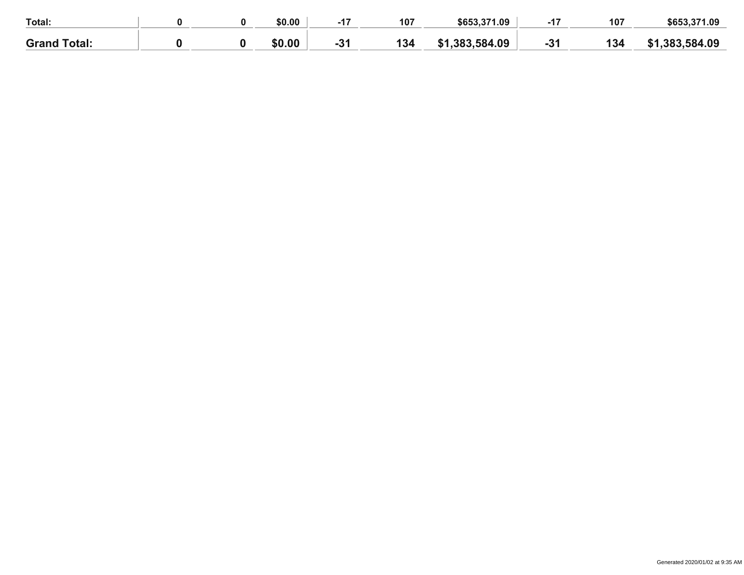| Total:              |  | \$0.00 |   | 107 | \$653,371.09      | - - | 107  | \$653,371.09 |
|---------------------|--|--------|---|-----|-------------------|-----|------|--------------|
| <b>Grand Total:</b> |  | \$0.00 | • | 134 | .383,584.09<br>C1 |     | 50 ن | .383.584.09  |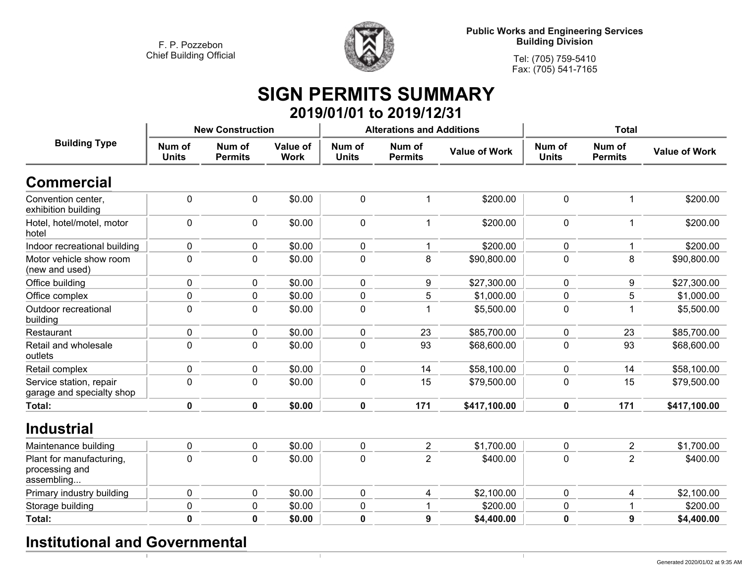

**Tel: (705) 759-5410Fax: (705) 541-7165**

#### **SIGN PERMITS SUMMARY 2019/01/01 to 2019/12/31**

|                                                          |                        | <b>New Construction</b>  |                         |                        | <b>Alterations and Additions</b> |                      | <b>Total</b>           |                          |                      |
|----------------------------------------------------------|------------------------|--------------------------|-------------------------|------------------------|----------------------------------|----------------------|------------------------|--------------------------|----------------------|
| <b>Building Type</b>                                     | Num of<br><b>Units</b> | Num of<br><b>Permits</b> | Value of<br><b>Work</b> | Num of<br><b>Units</b> | Num of<br><b>Permits</b>         | <b>Value of Work</b> | Num of<br><b>Units</b> | Num of<br><b>Permits</b> | <b>Value of Work</b> |
| <b>Commercial</b>                                        |                        |                          |                         |                        |                                  |                      |                        |                          |                      |
| Convention center,<br>exhibition building                | $\mathbf 0$            | $\mathbf 0$              | \$0.00                  | 0                      | 1                                | \$200.00             | $\mathbf 0$            |                          | \$200.00             |
| Hotel, hotel/motel, motor<br>hotel                       | $\mathbf 0$            | 0                        | \$0.00                  | 0                      | $\mathbf{1}$                     | \$200.00             | $\mathbf 0$            | $\mathbf{1}$             | \$200.00             |
| Indoor recreational building                             | $\pmb{0}$              | $\pmb{0}$                | \$0.00                  | 0                      | 1                                | \$200.00             | 0                      |                          | \$200.00             |
| Motor vehicle show room<br>(new and used)                | $\mathbf 0$            | 0                        | \$0.00                  | 0                      | 8                                | \$90,800.00          | $\mathbf 0$            | 8                        | \$90,800.00          |
| Office building                                          | $\mathbf 0$            | 0                        | \$0.00                  | 0                      | 9                                | \$27,300.00          | $\mathbf 0$            | 9                        | \$27,300.00          |
| Office complex                                           | 0                      | 0                        | \$0.00                  | 0                      | 5                                | \$1,000.00           | 0                      | 5                        | \$1,000.00           |
| Outdoor recreational<br>building                         | 0                      | $\mathbf 0$              | \$0.00                  | $\mathbf 0$            | $\mathbf{1}$                     | \$5,500.00           | $\mathbf 0$            |                          | \$5,500.00           |
| Restaurant                                               | $\mathbf 0$            | $\pmb{0}$                | \$0.00                  | 0                      | 23                               | \$85,700.00          | 0                      | 23                       | \$85,700.00          |
| Retail and wholesale<br>outlets                          | $\mathbf 0$            | $\mathbf 0$              | \$0.00                  | 0                      | 93                               | \$68,600.00          | $\mathbf 0$            | 93                       | \$68,600.00          |
| Retail complex                                           | $\mathbf 0$            | $\pmb{0}$                | \$0.00                  | 0                      | 14                               | \$58,100.00          | $\mathbf 0$            | 14                       | \$58,100.00          |
| Service station, repair<br>garage and specialty shop     | $\mathbf 0$            | $\mathbf 0$              | \$0.00                  | 0                      | 15                               | \$79,500.00          | 0                      | 15                       | \$79,500.00          |
| <b>Total:</b>                                            | $\mathbf 0$            | $\mathbf 0$              | \$0.00                  | $\mathbf 0$            | 171                              | \$417,100.00         | 0                      | 171                      | \$417,100.00         |
| <b>Industrial</b>                                        |                        |                          |                         |                        |                                  |                      |                        |                          |                      |
| Maintenance building                                     | $\mathbf 0$            | $\mathbf 0$              | \$0.00                  | 0                      | $\overline{2}$                   | \$1,700.00           | $\mathbf 0$            | $\overline{2}$           | \$1,700.00           |
| Plant for manufacturing,<br>processing and<br>assembling | 0                      | $\mathbf 0$              | \$0.00                  | 0                      | $\overline{2}$                   | \$400.00             | $\mathbf 0$            | $\overline{2}$           | \$400.00             |
| Primary industry building                                | $\mathbf 0$            | $\pmb{0}$                | \$0.00                  | 0                      | 4                                | \$2,100.00           | $\mathbf 0$            | 4                        | \$2,100.00           |
| Storage building                                         | 0                      | 0                        | \$0.00                  | 0                      |                                  | \$200.00             | 0                      |                          | \$200.00             |
| Total:                                                   | 0                      | 0                        | \$0.00                  | 0                      | 9                                | \$4,400.00           | 0                      | 9                        | \$4,400.00           |

## **Institutional and Governmental**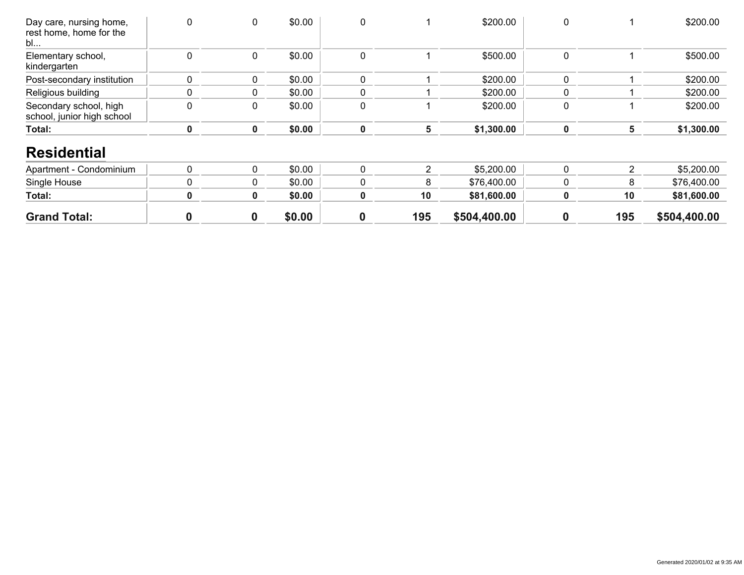| Day care, nursing home,<br>rest home, home for the<br>bl | 0 | 0           | \$0.00 | 0                |                | \$200.00     | 0           |               | \$200.00     |
|----------------------------------------------------------|---|-------------|--------|------------------|----------------|--------------|-------------|---------------|--------------|
| Elementary school,<br>kindergarten                       | 0 | $\mathbf 0$ | \$0.00 | 0                |                | \$500.00     | 0           |               | \$500.00     |
| Post-secondary institution                               | 0 | $\mathbf 0$ | \$0.00 | 0                |                | \$200.00     | 0           |               | \$200.00     |
| Religious building                                       | 0 | 0           | \$0.00 | 0                |                | \$200.00     | 0           |               | \$200.00     |
| Secondary school, high<br>school, junior high school     | 0 | 0           | \$0.00 | 0                |                | \$200.00     | 0           |               | \$200.00     |
| Total:                                                   | 0 | $\mathbf 0$ | \$0.00 | 0                | 5              | \$1,300.00   | $\mathbf 0$ | 5             | \$1,300.00   |
| <b>Residential</b>                                       |   |             |        |                  |                |              |             |               |              |
| Apartment - Condominium                                  | 0 | $\mathbf 0$ | \$0.00 | 0                | $\overline{2}$ | \$5,200.00   | 0           | $\mathcal{P}$ | \$5,200.00   |
| Single House                                             | 0 | $\mathbf 0$ | \$0.00 | 0                | 8              | \$76,400.00  | 0           | 8             | \$76,400.00  |
| Total:                                                   | 0 | $\mathbf 0$ | \$0.00 | 0                | 10             | \$81,600.00  | $\mathbf 0$ | 10            | \$81,600.00  |
| <b>Grand Total:</b>                                      | 0 | 0           | \$0.00 | $\boldsymbol{0}$ | 195            | \$504,400.00 | 0           | 195           | \$504,400.00 |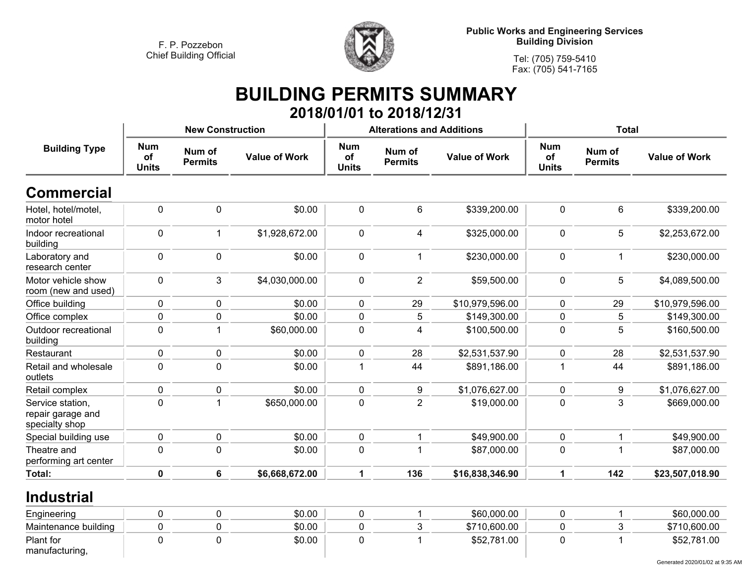

**Tel: (705) 759-5410 Fax: (705) 541-7165**

#### **BUILDING PERMITS SUMMARY 2018/01/01 to 2018/12/31**

|                                                         |                                  | <b>New Construction</b>  |                      |                                  | <b>Alterations and Additions</b> |                      | <b>Total</b>                     |                          |                      |
|---------------------------------------------------------|----------------------------------|--------------------------|----------------------|----------------------------------|----------------------------------|----------------------|----------------------------------|--------------------------|----------------------|
| <b>Building Type</b>                                    | <b>Num</b><br>of<br><b>Units</b> | Num of<br><b>Permits</b> | <b>Value of Work</b> | <b>Num</b><br>of<br><b>Units</b> | Num of<br><b>Permits</b>         | <b>Value of Work</b> | <b>Num</b><br>of<br><b>Units</b> | Num of<br><b>Permits</b> | <b>Value of Work</b> |
| <b>Commercial</b>                                       |                                  |                          |                      |                                  |                                  |                      |                                  |                          |                      |
| Hotel, hotel/motel,<br>motor hotel                      | $\pmb{0}$                        | $\mathbf 0$              | \$0.00               | 0                                | $\,6\,$                          | \$339,200.00         | $\mathbf 0$                      | 6                        | \$339,200.00         |
| Indoor recreational<br>building                         | $\mathbf 0$                      | $\mathbf 1$              | \$1,928,672.00       | $\mathbf 0$                      | $\overline{4}$                   | \$325,000.00         | $\mathbf 0$                      | $5\phantom{.0}$          | \$2,253,672.00       |
| Laboratory and<br>research center                       | $\mathbf 0$                      | $\mathbf 0$              | \$0.00               | $\pmb{0}$                        | $\mathbf{1}$                     | \$230,000.00         | $\mathbf 0$                      | $\mathbf 1$              | \$230,000.00         |
| Motor vehicle show<br>room (new and used)               | $\mathbf 0$                      | 3                        | \$4,030,000.00       | $\pmb{0}$                        | $\overline{2}$                   | \$59,500.00          | $\mathbf 0$                      | 5                        | \$4,089,500.00       |
| Office building                                         | 0                                | $\mathbf 0$              | \$0.00               | $\mathbf{0}$                     | 29                               | \$10,979,596.00      | $\mathbf{0}$                     | 29                       | \$10,979,596.00      |
| Office complex                                          | $\boldsymbol{0}$                 | $\mathbf 0$              | \$0.00               | 0                                | 5                                | \$149,300.00         | $\mathbf 0$                      | 5                        | \$149,300.00         |
| Outdoor recreational<br>building                        | $\pmb{0}$                        | $\overline{1}$           | \$60,000.00          | $\pmb{0}$                        | 4                                | \$100,500.00         | $\pmb{0}$                        | 5                        | \$160,500.00         |
| Restaurant                                              | $\mathbf 0$                      | $\mathbf 0$              | \$0.00               | 0                                | 28                               | \$2,531,537.90       | $\mathbf 0$                      | 28                       | \$2,531,537.90       |
| Retail and wholesale<br>outlets                         | $\mathbf 0$                      | $\mathbf 0$              | \$0.00               | 1                                | 44                               | \$891,186.00         | 1                                | 44                       | \$891,186.00         |
| Retail complex                                          | $\mathbf 0$                      | $\mathbf 0$              | \$0.00               | 0                                | 9                                | \$1,076,627.00       | $\mathbf 0$                      | 9                        | \$1,076,627.00       |
| Service station,<br>repair garage and<br>specialty shop | $\mathbf 0$                      | 1                        | \$650,000.00         | 0                                | $\overline{2}$                   | \$19,000.00          | $\mathbf 0$                      | 3                        | \$669,000.00         |
| Special building use                                    | $\mathbf 0$                      | $\mathbf 0$              | \$0.00               | 0                                | $\mathbf 1$                      | \$49,900.00          | $\mathbf 0$                      | $\mathbf 1$              | \$49,900.00          |
| Theatre and<br>performing art center                    | $\mathbf 0$                      | $\mathbf{0}$             | \$0.00               | 0                                |                                  | \$87,000.00          | $\mathbf 0$                      | -1                       | \$87,000.00          |
| Total:                                                  | $\mathbf 0$                      | 6                        | \$6,668,672.00       | 1                                | 136                              | \$16,838,346.90      | 1                                | 142                      | \$23,507,018.90      |
| <b>Industrial</b>                                       |                                  |                          |                      |                                  |                                  |                      |                                  |                          |                      |
| Engineering                                             | 0                                | $\mathbf 0$              | \$0.00               | 0                                | 1                                | \$60,000.00          | 0                                | -1                       | \$60,000.00          |
| Maintenance building                                    | $\mathbf 0$                      | $\mathbf 0$              | \$0.00               | 0                                | 3                                | \$710,600.00         | $\mathbf 0$                      | $\mathbf{3}$             | \$710,600.00         |
| Plant for<br>manufacturing,                             | $\mathbf 0$                      | $\mathbf 0$              | \$0.00               | $\mathbf 0$                      | 1                                | \$52,781.00          | $\mathbf 0$                      | 1                        | \$52,781.00          |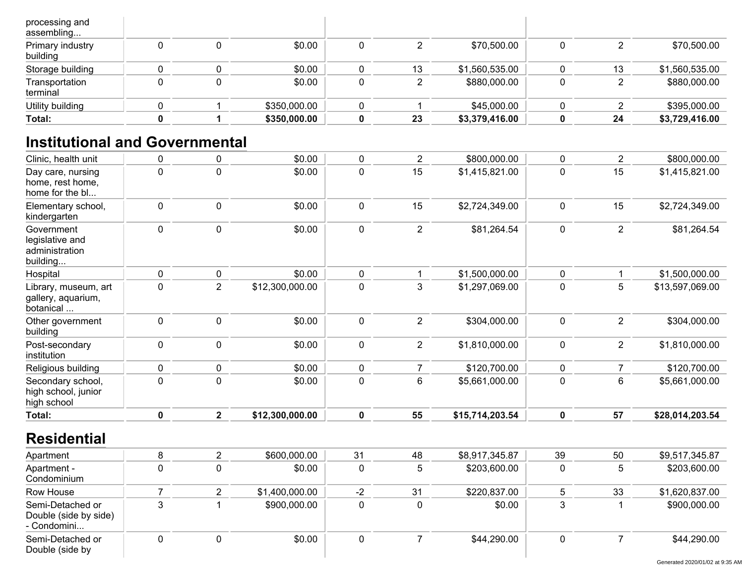| processing and<br>assembling |  |              |    |                |    |                |
|------------------------------|--|--------------|----|----------------|----|----------------|
| Primary industry<br>building |  | \$0.00       |    | \$70,500.00    |    | \$70,500.00    |
| Storage building             |  | \$0.00       | 13 | \$1,560,535.00 | 13 | \$1,560,535.00 |
| Transportation<br>terminal   |  | \$0.00       |    | \$880,000.00   |    | \$880,000.00   |
| Utility building             |  | \$350,000.00 |    | \$45,000.00    |    | \$395,000.00   |
| Total:                       |  | \$350,000.00 | 23 | \$3,379,416.00 | 24 | \$3,729,416.00 |

## **Institutional and Governmental**

| Clinic, health unit                                         | $\pmb{0}$   | 0              | \$0.00          | $\mathbf 0$ | $\overline{2}$ | \$800,000.00    | 0           | $\overline{2}$ | \$800,000.00    |
|-------------------------------------------------------------|-------------|----------------|-----------------|-------------|----------------|-----------------|-------------|----------------|-----------------|
| Day care, nursing<br>home, rest home,<br>home for the bl    | $\pmb{0}$   | $\mathbf 0$    | \$0.00          | $\pmb{0}$   | 15             | \$1,415,821.00  | 0           | 15             | \$1,415,821.00  |
| Elementary school,<br>kindergarten                          | $\pmb{0}$   | $\mathbf 0$    | \$0.00          | $\mathbf 0$ | 15             | \$2,724,349.00  | 0           | 15             | \$2,724,349.00  |
| Government<br>legislative and<br>administration<br>building | $\mathbf 0$ | $\mathbf 0$    | \$0.00          | $\mathbf 0$ | $\overline{2}$ | \$81,264.54     | 0           | $\overline{2}$ | \$81,264.54     |
| Hospital                                                    | $\pmb{0}$   | $\mathbf 0$    | \$0.00          | $\mathbf 0$ |                | \$1,500,000.00  | 0           |                | \$1,500,000.00  |
| Library, museum, art<br>gallery, aquarium,<br>botanical     | $\mathbf 0$ | $\overline{2}$ | \$12,300,000.00 | $\mathbf 0$ | 3              | \$1,297,069.00  | 0           | 5              | \$13,597,069.00 |
| Other government<br>building                                | $\mathbf 0$ | $\mathbf 0$    | \$0.00          | $\mathbf 0$ | $\overline{2}$ | \$304,000.00    | 0           | $\overline{2}$ | \$304,000.00    |
| Post-secondary<br>institution                               | $\pmb{0}$   | $\mathbf 0$    | \$0.00          | $\mathbf 0$ | $\overline{2}$ | \$1,810,000.00  | 0           | $\overline{2}$ | \$1,810,000.00  |
| Religious building                                          | $\pmb{0}$   | $\pmb{0}$      | \$0.00          | $\mathbf 0$ | $\overline{7}$ | \$120,700.00    | 0           | 7              | \$120,700.00    |
| Secondary school,<br>high school, junior<br>high school     | $\pmb{0}$   | $\mathbf 0$    | \$0.00          | $\mathbf 0$ | 6              | \$5,661,000.00  | 0           | 6              | \$5,661,000.00  |
| Total:                                                      | $\pmb{0}$   | $\mathbf{2}$   | \$12,300,000.00 | $\mathbf 0$ | 55             | \$15,714,203.54 | $\mathbf 0$ | 57             | \$28,014,203.54 |
| <b>Residential</b>                                          |             |                |                 |             |                |                 |             |                |                 |
| Apartment                                                   | 8           | $\overline{2}$ | \$600,000.00    | 31          | 48             | \$8,917,345.87  | 39          | 50             | \$9,517,345.87  |
|                                                             |             |                |                 |             |                |                 |             |                |                 |

| Apartment                                                |  | \$600,000.00   | 31 | 48 | \$8,917,345.87 | -39 | 50 | \$9,517,345.87 |
|----------------------------------------------------------|--|----------------|----|----|----------------|-----|----|----------------|
| Apartment -<br>Condominium                               |  | \$0.00         |    | b. | \$203,600.00   |     |    | \$203,600.00   |
| Row House                                                |  | \$1,400,000.00 | -2 | 31 | \$220,837.00   |     | 33 | \$1,620,837.00 |
| Semi-Detached or<br>Double (side by side)<br>- Condomini |  | \$900,000.00   |    |    | \$0.00         |     |    | \$900,000.00   |
| Semi-Detached or<br>Double (side by                      |  | \$0.00         |    |    | \$44,290.00    |     |    | \$44,290.00    |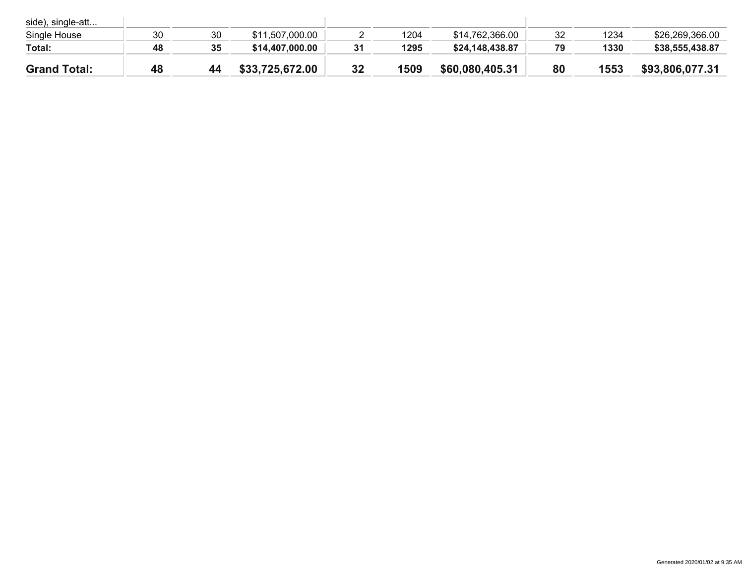| side), single-att   |    |    |                 |    |      |                 |    |      |                 |
|---------------------|----|----|-----------------|----|------|-----------------|----|------|-----------------|
| Single House        | 30 | 30 | \$11,507,000.00 |    | 1204 | \$14,762,366.00 | 32 | 1234 | \$26,269,366.00 |
| Total:              | 48 | 35 | \$14,407,000.00 | 31 | 1295 | \$24,148,438.87 | 79 | 1330 | \$38,555,438.87 |
| <b>Grand Total:</b> | 48 | 44 | \$33,725,672.00 | 32 | 1509 | \$60,080,405.31 | 80 | 1553 | \$93,806,077.31 |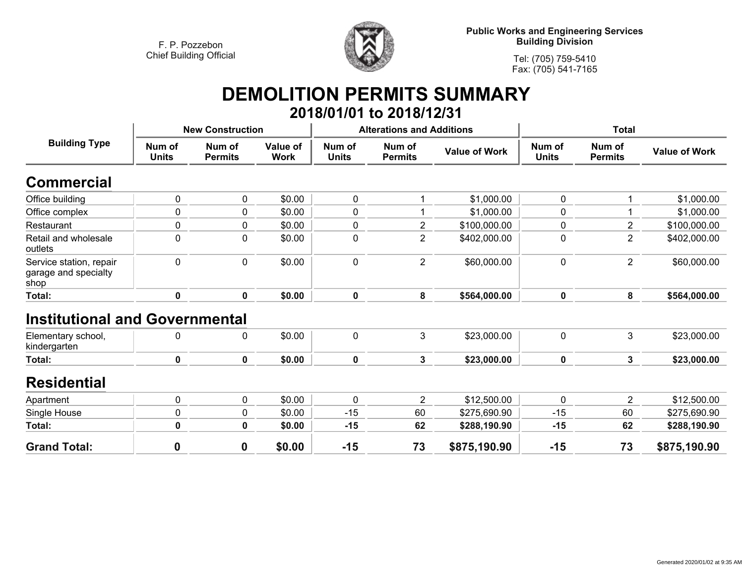

**Tel: (705) 759-5410Fax: (705) 541-7165**

#### **DEMOLITION PERMITS SUMMARY 2018/01/01 to 2018/12/31**

| <b>Building Type</b>                                    |                        | <b>New Construction</b>  |                         |                        | <b>Alterations and Additions</b> |                      |                        | <b>Total</b>             |                      |
|---------------------------------------------------------|------------------------|--------------------------|-------------------------|------------------------|----------------------------------|----------------------|------------------------|--------------------------|----------------------|
|                                                         | Num of<br><b>Units</b> | Num of<br><b>Permits</b> | Value of<br><b>Work</b> | Num of<br><b>Units</b> | Num of<br><b>Permits</b>         | <b>Value of Work</b> | Num of<br><b>Units</b> | Num of<br><b>Permits</b> | <b>Value of Work</b> |
| <b>Commercial</b>                                       |                        |                          |                         |                        |                                  |                      |                        |                          |                      |
| Office building                                         | 0                      | 0                        | \$0.00                  | 0                      |                                  | \$1,000.00           | 0                      |                          | \$1,000.00           |
| Office complex                                          | 0                      | $\mathbf 0$              | \$0.00                  | 0                      |                                  | \$1,000.00           | 0                      |                          | \$1,000.00           |
| Restaurant                                              | 0                      | 0                        | \$0.00                  | 0                      | $\overline{2}$                   | \$100,000.00         | 0                      | $\overline{2}$           | \$100,000.00         |
| Retail and wholesale<br>outlets                         | 0                      | 0                        | \$0.00                  | 0                      | $\overline{2}$                   | \$402,000.00         | 0                      | $\overline{2}$           | \$402,000.00         |
| Service station, repair<br>garage and specialty<br>shop | 0                      | 0                        | \$0.00                  | 0                      | $\overline{2}$                   | \$60,000.00          | 0                      | $\overline{2}$           | \$60,000.00          |
| Total:                                                  | $\mathbf 0$            | $\mathbf 0$              | \$0.00                  | $\mathbf 0$            | 8                                | \$564,000.00         | $\mathbf 0$            | 8                        | \$564,000.00         |
| <b>Institutional and Governmental</b>                   |                        |                          |                         |                        |                                  |                      |                        |                          |                      |
| Elementary school,<br>kindergarten                      | 0                      | 0                        | \$0.00                  | 0                      | $\mathbf{3}$                     | \$23,000.00          | 0                      | 3                        | \$23,000.00          |
| Total:                                                  | 0                      | $\mathbf 0$              | \$0.00                  | 0                      | $\mathbf{3}$                     | \$23,000.00          | $\mathbf 0$            | $\mathbf{3}$             | \$23,000.00          |
| <b>Residential</b>                                      |                        |                          |                         |                        |                                  |                      |                        |                          |                      |
| Apartment                                               | 0                      | $\mathbf 0$              | \$0.00                  | 0                      | $\overline{2}$                   | \$12,500.00          | 0                      | $\overline{\mathbf{c}}$  | \$12,500.00          |
| Single House                                            | 0                      | 0                        | \$0.00                  | $-15$                  | 60                               | \$275,690.90         | $-15$                  | 60                       | \$275,690.90         |
| Total:                                                  | $\pmb{0}$              | 0                        | \$0.00                  | $-15$                  | 62                               | \$288,190.90         | $-15$                  | 62                       | \$288,190.90         |
| <b>Grand Total:</b>                                     | 0                      | $\bf{0}$                 | \$0.00                  | $-15$                  | 73                               | \$875,190.90         | $-15$                  | 73                       | \$875,190.90         |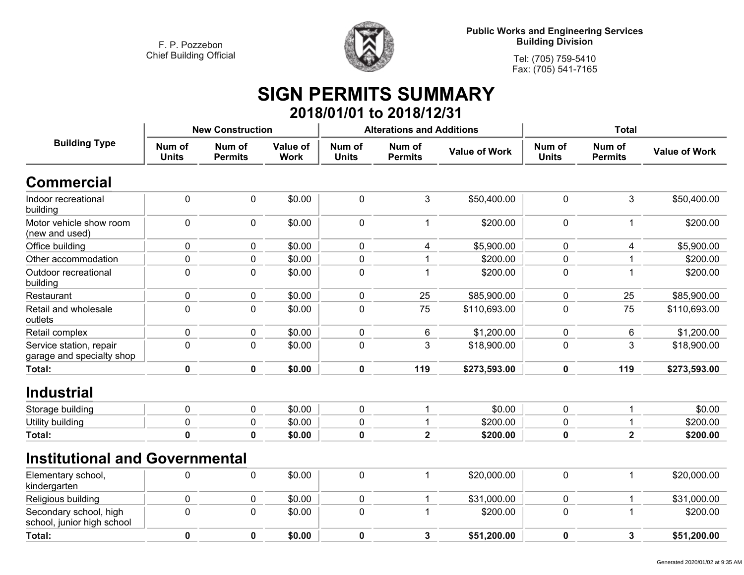**<sup>0</sup>**



**Public Works and Engineering Services Building Division**

> **Tel: (705) 759-5410Fax: (705) 541-7165**

#### **SIGN PERMITS SUMMARY 2018/01/01 to 2018/12/31**

|                                                      |                        | <b>New Construction</b>  |                         |                        | <b>Alterations and Additions</b> |                      |                        |                          |                      |
|------------------------------------------------------|------------------------|--------------------------|-------------------------|------------------------|----------------------------------|----------------------|------------------------|--------------------------|----------------------|
| <b>Building Type</b>                                 | Num of<br><b>Units</b> | Num of<br><b>Permits</b> | Value of<br><b>Work</b> | Num of<br><b>Units</b> | Num of<br><b>Permits</b>         | <b>Value of Work</b> | Num of<br><b>Units</b> | Num of<br><b>Permits</b> | <b>Value of Work</b> |
| <b>Commercial</b>                                    |                        |                          |                         |                        |                                  |                      |                        |                          |                      |
| Indoor recreational<br>building                      | $\pmb{0}$              | $\pmb{0}$                | \$0.00                  | 0                      | 3                                | \$50,400.00          | $\mathbf 0$            | 3                        | \$50,400.00          |
| Motor vehicle show room<br>(new and used)            | $\mathbf 0$            | 0                        | \$0.00                  | 0                      | 1                                | \$200.00             | $\mathbf 0$            | 1                        | \$200.00             |
| Office building                                      | $\mathbf 0$            | $\pmb{0}$                | \$0.00                  | 0                      | 4                                | \$5,900.00           | $\mathbf 0$            | 4                        | \$5,900.00           |
| Other accommodation                                  | $\mathbf 0$            | $\pmb{0}$                | \$0.00                  | 0                      |                                  | \$200.00             | 0                      |                          | \$200.00             |
| Outdoor recreational<br>building                     | $\mathbf 0$            | $\mathbf 0$              | \$0.00                  | 0                      |                                  | \$200.00             | $\mathbf 0$            |                          | \$200.00             |
| Restaurant                                           | 0                      | 0                        | \$0.00                  | 0                      | 25                               | \$85,900.00          | 0                      | 25                       | \$85,900.00          |
| Retail and wholesale<br>outlets                      | $\mathbf 0$            | $\mathbf 0$              | \$0.00                  | 0                      | 75                               | \$110,693.00         | $\mathbf 0$            | 75                       | \$110,693.00         |
| Retail complex                                       | $\mathbf 0$            | $\pmb{0}$                | \$0.00                  | 0                      | 6                                | \$1,200.00           | $\mathbf 0$            | 6                        | \$1,200.00           |
| Service station, repair<br>garage and specialty shop | $\mathbf 0$            | $\pmb{0}$                | \$0.00                  | 0                      | 3                                | \$18,900.00          | 0                      | 3                        | \$18,900.00          |
| <b>Total:</b>                                        | $\mathbf 0$            | $\mathbf 0$              | \$0.00                  | $\mathbf 0$            | 119                              | \$273,593.00         | $\mathbf 0$            | 119                      | \$273,593.00         |
| <b>Industrial</b>                                    |                        |                          |                         |                        |                                  |                      |                        |                          |                      |
| Storage building                                     | $\mathbf 0$            | 0                        | \$0.00                  | 0                      | 1                                | \$0.00               | $\mathbf 0$            |                          | \$0.00               |
| Utility building                                     | $\mathbf 0$            | 0                        | \$0.00                  | 0                      |                                  | \$200.00             | 0                      |                          | \$200.00             |
| <b>Total:</b>                                        | $\mathbf 0$            | $\mathbf 0$              | \$0.00                  | 0                      | $\overline{2}$                   | \$200.00             | 0                      | $\overline{\mathbf{2}}$  | \$200.00             |
| <b>Institutional and Governmental</b>                |                        |                          |                         |                        |                                  |                      |                        |                          |                      |
| Elementary school,<br>kindergarten                   | $\mathbf 0$            | 0                        | \$0.00                  | 0                      | 1                                | \$20,000.00          | $\pmb{0}$              | 1                        | \$20,000.00          |
| Religious building                                   | $\mathbf 0$            | $\pmb{0}$                | \$0.00                  | 0                      | 1                                | \$31,000.00          | $\mathbf 0$            |                          | \$31,000.00          |
| Secondary school, high<br>school, junior high school | $\pmb{0}$              | $\pmb{0}$                | \$0.00                  | 0                      |                                  | \$200.00             | $\mathbf 0$            |                          | \$200.00             |
| Total:                                               | $\mathbf 0$            | $\mathbf 0$              | \$0.00                  | 0                      | 3                                | \$51,200.00          | 0                      | 3                        | \$51,200.00          |

**<sup>0</sup> \$0.00 <sup>0</sup> <sup>3</sup> \$51,200.00 <sup>0</sup> <sup>3</sup> \$51,200.00**